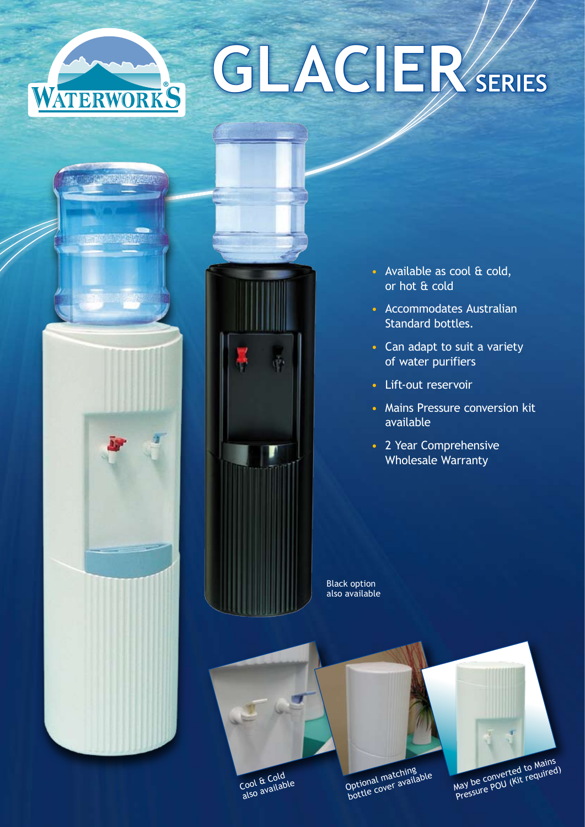## **GLACIERSERIES** WATERWORKS



**LEARN SHOWSTON** 

- Available as cool & cold, or hot & cold
- • Accommodates Australian Standard bottles.
- Can adapt to suit a variety of water purifiers
- Lift-out reservoir
- Mains Pressure conversion kit available
- 2 Year Comprehensive Wholesale Warranty

Black option also available







Optional matching bottle cover available



May be converted to Mains Pressure POU (Kit required)